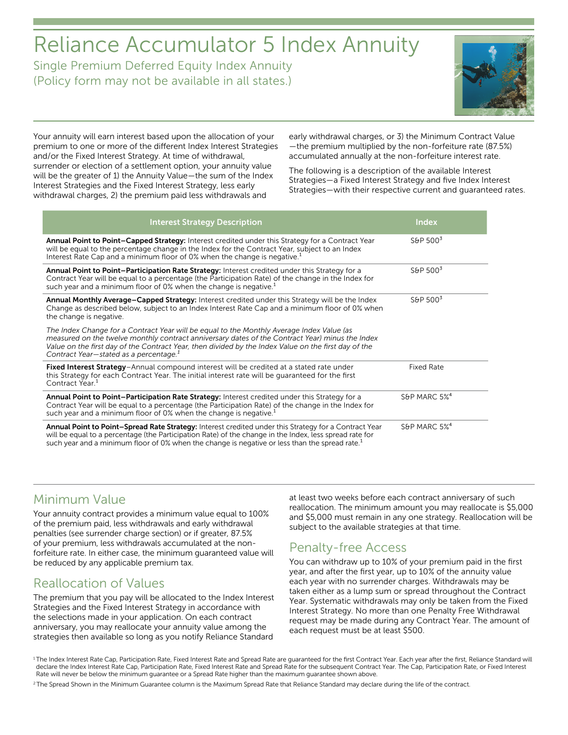# Reliance Accumulator 5 Index Annuity

Single Premium Deferred Equity Index Annuity (Policy form may not be available in all states.)



Your annuity will earn interest based upon the allocation of your premium to one or more of the different Index Interest Strategies and/or the Fixed Interest Strategy. At time of withdrawal, surrender or election of a settlement option, your annuity value will be the greater of 1) the Annuity Value—the sum of the Index Interest Strategies and the Fixed Interest Strategy, less early withdrawal charges, 2) the premium paid less withdrawals and

early withdrawal charges, or 3) the Minimum Contract Value —the premium multiplied by the non-forfeiture rate (87.5%) accumulated annually at the non-forfeiture interest rate.

The following is a description of the available Interest Strategies—a Fixed Interest Strategy and five Index Interest Strategies—with their respective current and guaranteed rates.

| <b>Interest Strategy Description</b>                                                                                                                                                                                                                                                                                                                       | <b>Index</b>             |
|------------------------------------------------------------------------------------------------------------------------------------------------------------------------------------------------------------------------------------------------------------------------------------------------------------------------------------------------------------|--------------------------|
| Annual Point to Point-Capped Strategy: Interest credited under this Strategy for a Contract Year<br>will be equal to the percentage change in the Index for the Contract Year, subject to an Index<br>Interest Rate Cap and a minimum floor of 0% when the change is negative. <sup>1</sup>                                                                | S&P $5003$               |
| Annual Point to Point-Participation Rate Strategy: Interest credited under this Strategy for a<br>Contract Year will be equal to a percentage (the Participation Rate) of the change in the Index for<br>such year and a minimum floor of 0% when the change is negative. <sup>1</sup>                                                                     | S&P $5003$               |
| Annual Monthly Average-Capped Strategy: Interest credited under this Strategy will be the Index<br>Change as described below, subject to an Index Interest Rate Cap and a minimum floor of 0% when<br>the change is negative.                                                                                                                              | S&P $5003$               |
| The Index Change for a Contract Year will be equal to the Monthly Average Index Value (as<br>measured on the twelve monthly contract anniversary dates of the Contract Year) minus the Index<br>Value on the first day of the Contract Year, then divided by the Index Value on the first day of the<br>Contract Year-stated as a percentage. <sup>1</sup> |                          |
| Fixed Interest Strategy-Annual compound interest will be credited at a stated rate under<br>this Strategy for each Contract Year. The initial interest rate will be guaranteed for the first<br>Contract Year. <sup>1</sup>                                                                                                                                | <b>Fixed Rate</b>        |
| Annual Point to Point-Participation Rate Strategy: Interest credited under this Strategy for a<br>Contract Year will be equal to a percentage (the Participation Rate) of the change in the Index for<br>such year and a minimum floor of 0% when the change is negative. <sup>1</sup>                                                                     | S&P MARC $5\%^4$         |
| Annual Point to Point-Spread Rate Strategy: Interest credited under this Strategy for a Contract Year<br>will be equal to a percentage (the Participation Rate) of the change in the Index, less spread rate for<br>such year and a minimum floor of 0% when the change is negative or less than the spread rate. <sup>1</sup>                             | S&P MARC 5% <sup>4</sup> |

### Minimum Value

Your annuity contract provides a minimum value equal to 100% of the premium paid, less withdrawals and early withdrawal penalties (see surrender charge section) or if greater, 87.5% of your premium, less withdrawals accumulated at the nonforfeiture rate. In either case, the minimum guaranteed value will be reduced by any applicable premium tax.

# Reallocation of Values

The premium that you pay will be allocated to the Index Interest Strategies and the Fixed Interest Strategy in accordance with the selections made in your application. On each contract anniversary, you may reallocate your annuity value among the strategies then available so long as you notify Reliance Standard

at least two weeks before each contract anniversary of such reallocation. The minimum amount you may reallocate is \$5,000 and \$5,000 must remain in any one strategy. Reallocation will be subject to the available strategies at that time.

### Penalty-free Access

You can withdraw up to 10% of your premium paid in the first year, and after the first year, up to 10% of the annuity value each year with no surrender charges. Withdrawals may be taken either as a lump sum or spread throughout the Contract Year. Systematic withdrawals may only be taken from the Fixed Interest Strategy. No more than one Penalty Free Withdrawal request may be made during any Contract Year. The amount of each request must be at least \$500.

<sup>&</sup>lt;sup>1</sup>The Index Interest Rate Cap, Participation Rate, Fixed Interest Rate and Spread Rate are quaranteed for the first Contract Year. Each year after the first, Reliance Standard will declare the Index Interest Rate Cap, Participation Rate, Fixed Interest Rate and Spread Rate for the subsequent Contract Year. The Cap, Participation Rate, or Fixed Interest Rate will never be below the minimum guarantee or a Spread Rate higher than the maximum guarantee shown above.

<sup>&</sup>lt;sup>2</sup> The Spread Shown in the Minimum Guarantee column is the Maximum Spread Rate that Reliance Standard may declare during the life of the contract.